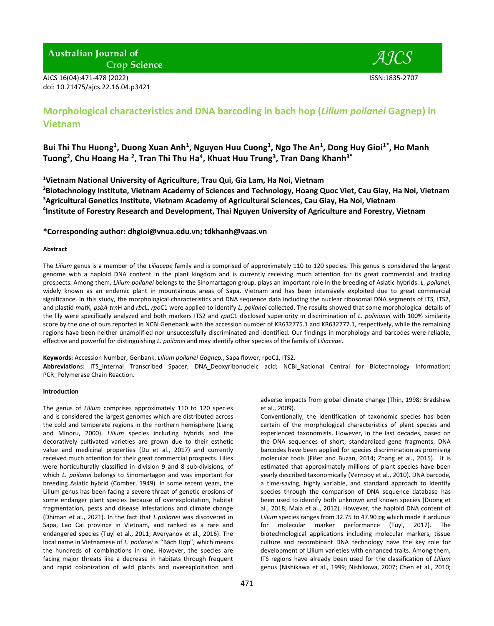**Australian Journal of Crop Science** 

AJCS 16(04):471-478 (2022) ISSN:1835-2707 doi: 10.21475/ajcs.22.16.04.p3421



# **Morphological characteristics and DNA barcoding in bach hop (***Lilium poilanei* **Gagnep) in Vietnam**

Bui Thi Thu Huong<sup>1</sup>, Duong Xuan Anh<sup>1</sup>, Nguyen Huu Cuong<sup>1</sup>, Ngo The An<sup>1</sup>, Dong Huy Gioi<sup>1\*</sup>, Ho Manh **Tuong<sup>2</sup> , Chu Hoang Ha <sup>2</sup> , Tran Thi Thu Ha<sup>4</sup> , Khuat Huu Trung<sup>3</sup> , Tran Dang Khanh3\***

**<sup>1</sup>Vietnam National University of Agriculture, Trau Qui, Gia Lam, Ha Noi, Vietnam** 

**<sup>2</sup>Biotechnology Institute, Vietnam Academy of Sciences and Technology, Hoang Quoc Viet, Cau Giay, Ha Noi, Vietnam <sup>3</sup>Agricultural Genetics Institute, Vietnam Academy of Agricultural Sciences, Cau Giay, Ha Noi, Vietnam 4 Institute of Forestry Research and Development, Thai Nguyen University of Agriculture and Forestry, Vietnam**

**\*Corresponding author: [dhgioi@vnua.edu.vn;](mailto:dhgioi@vnua.edu.vn) [tdkhanh@vaas.vn](mailto:tdkhanh@vaas.vn)**

# **Abstract**

The *Lilium* genus is a member of the *Liliaceae* family and is comprised of approximately 110 to 120 species. This genus is considered the largest genome with a haploid DNA content in the plant kingdom and is currently receiving much attention for its great commercial and trading prospects. Among them, *Lilium poilanei* belongs to the Sinomartagon group, plays an important role in the breeding of Asiatic hybrids. *L. poilanei,* widely known as an endemic plant in mountainous areas of Sapa, Vietnam and has been intensively exploited due to great commercial significance. In this study, the morphological characteristics and DNA sequence data including the nuclear ribosomal DNA segments of ITS, ITS2, and plastid *mat*K*, psbA-trn*H and *rbc*L, *rpo*C1 were applied to identify *L. poilanei* collected. The results showed that some morphological details of the lily were specifically analyzed and both markers ITS2 and *rpo*C1 disclosed superiority in discrimination of *L. polinanei* with 100% similarity score by the one of ours reported in NCBI Genebank with the accession number of KR632775.1 and KR632777.1, respectively, while the remaining regions have been neither unamplified nor unsuccessfully discriminated and identified. Our findings in morphology and barcodes were reliable, effective and powerful for distinguishing *L. poilanei* and may identify other species of the family of *Liliaceae*.

**Keywords:** Accession Number, Genbank, *Lilium poilanei Gagnep.*, Sapa flower, rpoC1, ITS2. **Abbreviation**s: ITS\_Internal Transcribed Spacer; DNA\_Deoxyribonucleic acid; NCBI\_National Central for Biotechnology Information; PCR\_Polymerase Chain Reaction.

#### **Introduction**

The genus of *Lilium* comprises approximately 110 to 120 species and is considered the largest genomes which are distributed across the cold and temperate regions in the northern hemisphere (Liang and Minoru, 2000). *Lilium* species including hybrids and the decoratively cultivated varieties are grown due to their esthetic value and medicinal properties (Du et al., 2017) and currently received much attention for their great commercial prospects. Lilies were horticulturally classified in division 9 and 8 sub-divisions, of which *L. poilanei* belongs to Sinomartagon and was important for breeding Asiatic hybrid (Comber, 1949). In some recent years, the Lilium genus has been facing a severe threat of genetic erosions of some endanger plant species because of overexploitation, habitat fragmentation, pests and disease infestations and climate change (Dhiman et al., 2021). In the fact that *L.poilanei* was discovered in Sapa, Lao Cai province in Vietnam, and ranked as a rare and endangered species (Tuyl et al., 2011; Averyanov et al., 2016). The local name in Vietnamese of *L. poilanei* is "Bách Hợp", which means the hundreds of combinations in one. However, the species are facing major threats like a decrease in habitats through frequent and rapid colonization of wild plants and overexploitation and

adverse impacts from global climate change (Thin, 1998; Bradshaw et al., 2009).

Conventionally, the identification of taxonomic species has been certain of the morphological characteristics of plant species and experienced taxonomists. However, in the last decades, based on the DNA sequences of short, standardized gene fragments, DNA barcodes have been applied for species discrimination as promising molecular tools (Fišer and Buzan, 2014; Zhang et al., 2015). It is estimated that approximately millions of plant species have been yearly described taxonomically (Vernooy et al., 2010). DNA barcode, a time-saving, highly variable, and standard approach to identify species through the comparison of DNA sequence database has been used to identify both unknown and known species (Duong et al., 2018; Maia et al., 2012). However, the haploid DNA content of *Lilium* species ranges from 32.75 to 47.90 pg which made it arduous for molecular marker performance (Tuyl, 2017). The biotechnological applications including molecular markers, tissue culture and recombinant DNA technology have the key role for development of Lilium varieties with enhanced traits. Among them, ITS regions have already been used for the classification of *Lilium* genus (Nishikawa et al., 1999; Nishikawa, 2007; Chen et al., 2010;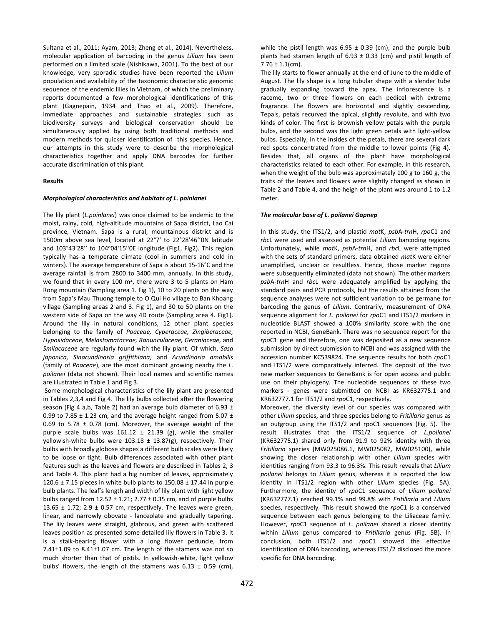Sultana et al., 2011; Ayam, 2013; Zheng et al., 2014). Nevertheless, molecular application of barcoding in the genus *Lilium* has been performed on a limited scale (Nishikawa, 2001). To the best of our knowledge, very sporadic studies have been reported the *Lilium* population and availability of the taxonomic characteristic genomic sequence of the endemic lilies in Vietnam, of which the preliminary reports documented a few morphological identifications of this plant (Gagnepain, 1934 and Thao et al., 2009). Therefore, immediate approaches and sustainable strategies such as biodiversity surveys and biological conservation should be simultaneously applied by using both traditional methods and modern methods for quicker identification of this species. Hence, our attempts in this study were to describe the morphological characteristics together and apply DNA barcodes for further accurate discrimination of this plant.

#### **Results**

## *Morphological characteristics and habitats of L. poinlanei*

The lily plant (*L.poinlanei*) was once claimed to be endemic to the moist, rainy, cold, high-altitude mountains of Sapa district, Lao Cai province, Vietnam. Sapa is a rural, mountainous district and is 1500m above sea level, located at 22°7' to 22°28'46''0N latitude and 103°43'28" to 104°04'15"0E longitude (Fig1, Fig2). This region typically has a temperate climate (cool in summers and cold in winters). The average temperature of Sapa is about 15-16°C and the average rainfall is from 2800 to 3400 mm, annually. In this study, we found that in every 100  $m^2$ , there were 3 to 5 plants on Ham Rong mountain (Sampling area 1. Fig 1), 10 to 20 plants on the way from Sapa's Mau Thuong temple to O Qui Ho village to Ban Khoang village (Sampling areas 2 and 3. Fig 1), and 30 to 50 plants on the western side of Sapa on the way 4D route (Sampling area 4. Fig1). Around the lily in natural conditions, 12 other plant species belonging to the family of *Poaceae, Cyperaceae, Zingiberaceae, Hypoxidaceae, Melastomataceae, Ranunculaceae, Geraniaceae,* and *Smilacaceae* are regularly found with the lily plant. Of which, *Sasa japonica, Sinarundinaria griffithiana,* and *Arundinaria amabilis* (family of *Poaceae*), are the most dominant growing nearby the *L. poilanei* (data not shown). Their local names and scientific names are illustrated in Table 1 and Fig 3.

Some morphological characteristics of the lily plant are presented in Tables 2,3,4 and Fig 4. The lily bulbs collected after the flowering season (Fig 4 a,b, Table 2) had an average bulb diameter of 6.93  $\pm$ 0.99 to 7.85  $\pm$  1.23 cm, and the average height ranged from 5.07  $\pm$ 0.69 to 5.78  $\pm$  0.78 (cm). Moreover, the average weight of the purple scale bulbs was  $161.12 \pm 21.39$  (g), while the smaller yellowish-white bulbs were  $103.18 \pm 13.87(g)$ , respectively. Their bulbs with broadly globose shapes a different bulb scales were likely to be loose or tight. Bulb differences associated with other plant features such as the leaves and flowers are described in Tables 2, 3 and Table 4. This plant had a big number of leaves, approximately 120.6  $\pm$  7.15 pieces in white bulb plants to 150.08  $\pm$  17.44 in purple bulb plants. The leaf's length and width of lily plant with light yellow bulbs ranged from  $12.52 \pm 1.21$ ;  $2.77 \pm 0.35$  cm, and of purple bulbs 13.65  $\pm$  1.72; 2.9  $\pm$  0.57 cm, respectively. The leaves were green, linear, and narrowly obovate - lanceolate and gradually tapering. The lily leaves were straight, glabrous, and green with scattered leaves position as presented some detailed lily flowers in Table 3. It is a stalk-bearing flower with a long flower peduncle, from 7.41±1.09 to 8.41±1.07 cm. The length of the stamens was not so much shorter than that of pistils. In yellowish-white, light yellow bulbs' flowers, the length of the stamens was  $6.13 \pm 0.59$  (cm),

while the pistil length was  $6.95 \pm 0.39$  (cm); and the purple bulb plants had stamen length of  $6.93 \pm 0.33$  (cm) and pistil length of  $7.76 \pm 1.1$ (cm).

The lily starts to flower annually at the end of June to the middle of August. The lily shape is a long tubular shape with a slender tube gradually expanding toward the apex. The inflorescence is a raceme, two or three flowers on each pedicel with extreme fragrance. The flowers are horizontal and slightly descending. Tepals, petals recurved the apical, slightly revolute, and with two kinds of color. The first is brownish yellow petals with the purple bulbs, and the second was the light green petals with light-yellow bulbs. Especially, in the insides of the petals, there are several dark red spots concentrated from the middle to lower points (Fig 4). Besides that, all organs of the plant have morphological characteristics related to each other. For example, in this research, when the weight of the bulb was approximately 100 g to 160 g, the traits of the leaves and flowers were slightly changed as shown in Table 2 and Table 4, and the heigh of the plant was around 1 to 1.2 meter.

#### *The molecular base of L. poilanei Gapnep*

In this study, the ITS1/2, and plastid *mat*K, *psb*A-*trn*H, *rpo*C1 and *rbc*L were used and assessed as potential *Lilium* barcoding regions. Unfortunately, while *mat*K, *psb*A-*trn*H, and *rbc*L were attempted with the sets of standard primers, data obtained *mat*K were either unamplified, unclear or resultless. Hence, those marker regions were subsequently eliminated (data not shown). The other markers *psb*A-*trn*H and *rbc*L were adequately amplified by applying the standard pairs and PCR protocols, but the results attained from the sequence analyses were not sufficient variation to be germane for barcoding the genus of *Lilium*. Contrarily, measurement of DNA sequence alignment for *L. poilanei* for *rpo*C1 and ITS1/2 markers in nucleotide BLAST showed a 100% similarity score with the one reported in NCBI, GeneBank. There was no sequence report for the *rpo*C1 gene and therefore, one was deposited as a new sequence submission by direct submission to NCBI and was assigned with the accession number KC539824. The sequence results for both *rpo*C1 and ITS1/2 were comparatively inferred. The deposit of the two new marker sequences to GeneBank is for open access and public use on their phylogeny. The nucleotide sequences of these two markers - genes were submitted on NCBI as KR632775.1 and KR632777.1 for ITS1/2 and *rpo*C1, respectively.

Moreover, the diversity level of our species was compared with other *Lilium* species, and three species belong to *Fritillaria* genus as an outgroup using the ITS1/2 and rpoC1 sequences (Fig. 5). The result illustrates that the ITS1/2 sequence of *L.poilanei*  (KR632775.1) shared only from 91.9 to 92% identity with three *Fritillaria* species (MW025086.1, MW025087, MW025100), while showing the closer relationship with other *Lilium* species with identities ranging from 93.3 to 96.3%. This result reveals that *Lilium poilanei* belongs to *Lilium* genus, whereas it is reported the low identity in ITS1/2 region with other *Lilium* species (Fig. 5A). Furthermore, the identity of *rpo*C1 sequence of *Lilium poilanei*  (KR632777.1) reached 99.1% and 99.8% with *Fritillaria* and *Lilium*  species, respectively. This result showed the *rpo*C1 is a conserved sequence between each genus belonging to the Liliaceae family. However, *rpo*C1 sequence of *L. poilanei* shared a closer identity within *Lilium* genus compared to *Fritillaria* genus (Fig. 5B). In conclusion, both ITS1/2 and *rpo*C1 showed the effective identification of DNA barcoding, whereas ITS1/2 disclosed the more specific for DNA barcoding.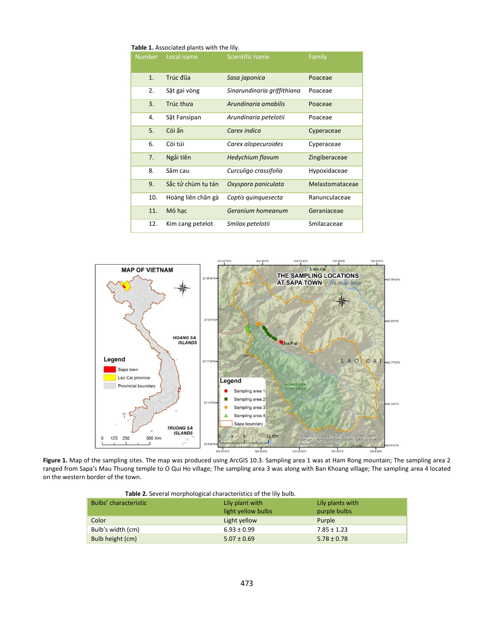| <b>Table 1.</b> Associated plants with the IIIV. |                    |                             |                 |  |  |  |
|--------------------------------------------------|--------------------|-----------------------------|-----------------|--|--|--|
| <b>Number</b>                                    | Local name         | Scientific name             | Family          |  |  |  |
| 1.                                               | Trúc đũa           | Sasa japonica               | Poaceae         |  |  |  |
| 2.                                               | Sặt gai vòng       | Sinarundinaria griffithiana | Poaceae         |  |  |  |
| 3.                                               | Trúc thưa          | Arundinaria amabilis        | Poaceae         |  |  |  |
| 4.                                               | Sặt Fansipan       | Arundinaria petelotii       | Poaceae         |  |  |  |
| 5.                                               | Cói ấn             | Carex indica                | Cyperaceae      |  |  |  |
| 6.                                               | Cói túi            | Carex alopecuroides         | Cyperaceae      |  |  |  |
| 7.                                               | Ngải tiên          | <b>Hedychium flavum</b>     | Zingiberaceae   |  |  |  |
| 8.                                               | Sâm cau            | Curculigo crassifolia       | Hypoxidaceae    |  |  |  |
| 9.                                               | Sắc tử chùm tụ tán | Oxyspora paniculata         | Melastomataceae |  |  |  |
| 10.                                              | Hoàng liên chân gà | Coptis quinquesecta         | Ranunculaceae   |  |  |  |
| 11.                                              | Mỏ hac             | Geranium homeanum           | Geraniaceae     |  |  |  |
| 12.                                              | Kim cang petelot   | Smilax petelotii            | Smilacaceae     |  |  |  |

 **Table 1.** Associated plants with the lily.



**Figure 1.** Map of the sampling sites. The map was produced using ArcGIS 10.3. Sampling area 1 was at Ham Rong mountain; The sampling area 2 ranged from Sapa's Mau Thuong temple to O Qui Ho village; The sampling area 3 was along with Ban Khoang village; The sampling area 4 located on the western border of the town.

| <b>Table 2.</b> Several morphological characteristics of the lily buib. |                  |  |  |  |
|-------------------------------------------------------------------------|------------------|--|--|--|
| Lily plant with                                                         | Lily plants with |  |  |  |
| light yellow bulbs                                                      | purple bulbs     |  |  |  |
| Light yellow                                                            | Purple           |  |  |  |
| $6.93 \pm 0.99$                                                         | $7.85 \pm 1.23$  |  |  |  |
| $5.07 \pm 0.69$                                                         | $5.78 \pm 0.78$  |  |  |  |
|                                                                         |                  |  |  |  |

**Table 2.** Several morphological characteristics of the lily bulb.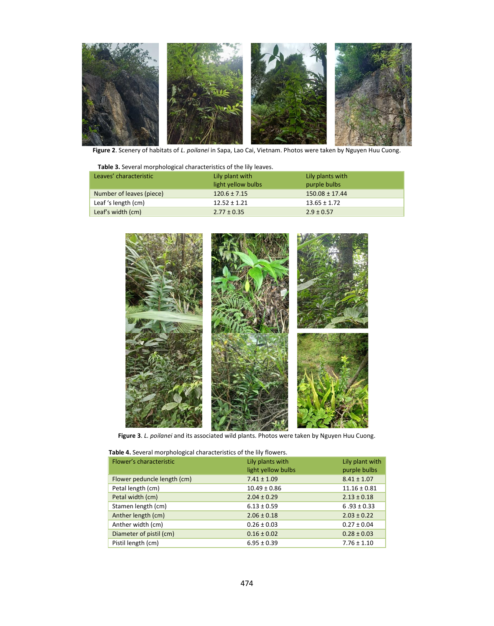

**Figure 2**. Scenery of habitats of *L. poilanei* in Sapa, Lao Cai, Vietnam. Photos were taken by Nguyen Huu Cuong.

| Table 3. Several morphological characteristics of the lily leaves. |
|--------------------------------------------------------------------|
|--------------------------------------------------------------------|

| Leaves' characteristic   | Lily plant with<br>light yellow bulbs | Lily plants with<br>purple bulbs |
|--------------------------|---------------------------------------|----------------------------------|
| Number of leaves (piece) | $120.6 \pm 7.15$                      | $150.08 \pm 17.44$               |
| Leaf 's length (cm)      | $12.52 \pm 1.21$                      | $13.65 \pm 1.72$                 |
| Leaf's width (cm)        | $2.77 \pm 0.35$                       | $2.9 \pm 0.57$                   |



**Figure 3**. *L. poilanei* and its associated wild plants. Photos were taken by Nguyen Huu Cuong.

| Flower's characteristic     | Lily plants with<br>light yellow bulbs | Lily plant with<br>purple bulbs |
|-----------------------------|----------------------------------------|---------------------------------|
| Flower peduncle length (cm) | $7.41 \pm 1.09$                        | $8.41 \pm 1.07$                 |
| Petal length (cm)           | $10.49 \pm 0.86$                       | $11.16 \pm 0.81$                |
| Petal width (cm)            | $2.04 \pm 0.29$                        | $2.13 \pm 0.18$                 |
| Stamen length (cm)          | $6.13 \pm 0.59$                        | $6.93 \pm 0.33$                 |
| Anther length (cm)          | $2.06 \pm 0.18$                        | $2.03 \pm 0.22$                 |
| Anther width (cm)           | $0.26 \pm 0.03$                        | $0.27 \pm 0.04$                 |
| Diameter of pistil (cm)     | $0.16 \pm 0.02$                        | $0.28 \pm 0.03$                 |
| Pistil length (cm)          | $6.95 \pm 0.39$                        | $7.76 \pm 1.10$                 |

 **Table 4.** Several morphological characteristics of the lily flowers.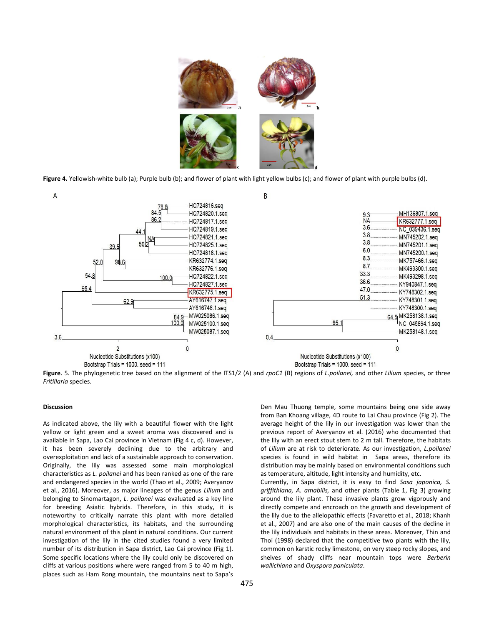

**Figure 4.** Yellowish-white bulb (a); Purple bulb (b); and flower of plant with light yellow bulbs (c); and flower of plant with purple bulbs (d).



**Figure**. 5. The phylogenetic tree based on the alignment of the ITS1/2 (A) and *rpoC1* (B) regions of *L.poilanei,* and other *Lilium* species, or three *Fritillaria* species.

# **Discussion**

As indicated above, the lily with a beautiful flower with the light yellow or light green and a sweet aroma was discovered and is available in Sapa, Lao Cai province in Vietnam (Fig 4 c, d). However, it has been severely declining due to the arbitrary and overexploitation and lack of a sustainable approach to conservation. Originally, the lily was assessed some main morphological characteristics as *L. poilanei* and has been ranked as one of the rare and endangered species in the world (Thao et al., 2009; Averyanov et al., 2016). Moreover, as major lineages of the genus *Lilium* and belonging to Sinomartagon, *L. poilanei* was evaluated as a key line for breeding Asiatic hybrids. Therefore, in this study, it is noteworthy to critically narrate this plant with more detailed morphological characteristics, its habitats, and the surrounding natural environment of this plant in natural conditions. Our current investigation of the lily in the cited studies found a very limited number of its distribution in Sapa district, Lao Cai province (Fig 1). Some specific locations where the lily could only be discovered on cliffs at various positions where were ranged from 5 to 40 m high, places such as Ham Rong mountain, the mountains next to Sapa's

Den Mau Thuong temple, some mountains being one side away from Ban Khoang village, 4D route to Lai Chau province (Fig 2). The average height of the lily in our investigation was lower than the previous report of Averyanov et al. (2016) who documented that the lily with an erect stout stem to 2 m tall. Therefore, the habitats of *Lilium* are at risk to deteriorate. As our investigation, *L.poilanei* species is found in wild habitat in Sapa areas, therefore its distribution may be mainly based on environmental conditions such as temperature, altitude, light intensity and humidity, etc.

Currently, in Sapa district, it is easy to find *Sasa japonica, S. griffithiana, A. amabilis,* and other plants (Table 1, Fig 3) growing around the lily plant. These invasive plants grow vigorously and directly compete and encroach on the growth and development of the lily due to the allelopathic effects (Favaretto et al., 2018; Khanh et al., 2007) and are also one of the main causes of the decline in the lily individuals and habitats in these areas. Moreover, Thin and Thoi (1998) declared that the competitive two plants with the lily, common on karstic rocky limestone, on very steep rocky slopes, and shelves of shady cliffs near mountain tops were *Berberin wallichiana* and *Oxyspora paniculata*.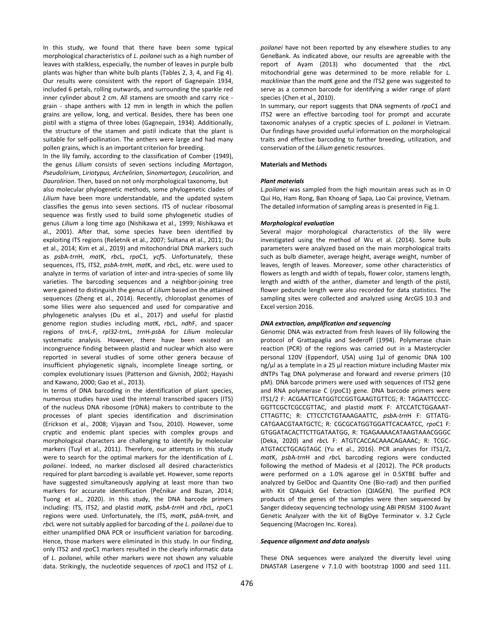In this study, we found that there have been some typical morphological characteristics of *L. poilanei* such as a high number of leaves with stalkless, especially, the number of leaves in purple bulb plants was higher than white bulb plants (Tables 2, 3, 4, and Fig 4). Our results were consistent with the report of Gagnepain 1934, included 6 petals, rolling outwards, and surrounding the sparkle red inner cylinder about 2 cm. All stamens are smooth and carry rice grain - shape anthers with 12 mm in length in which the pollen grains are yellow, long, and vertical. Besides, there has been one pistil with a stigma of three lobes (Gagnepain, 1934). Additionally, the structure of the stamen and pistil indicate that the plant is suitable for self-pollination. The anthers were large and had many pollen grains, which is an important criterion for breeding.

In the lily family, according to the classification of Comber (1949), the genus *Lilium* consists of seven sections including *Martagon*, *Pseudolirium*, *Liriotypus, Archelirion, Sinomartagon, Leucolirion,* and *Daurolirion*. Then, based on not only morphological taxonomy, but also molecular phylogenetic methods, some phylogenetic clades of *Lilium* have been more understandable, and the updated system classifies the genus into seven sections. ITS of nuclear ribosomal sequence was firstly used to build some phylogenetic studies of genus *Lilium* a long time ago (Nishikawa et al., 1999; Nishikawa et al., 2001). After that, some species have been identified by exploiting ITS regions (Rešetnik et al., 2007; Sultana et al., 2011; Du et al., 2014; Kim et al., 2019) and mitochondrial DNA markers such as *psb*A-*trn*H, *mat*K, *rbc*L, *rpo*C1, *ycf*5. Unfortunately, these sequences, ITS, ITS2, *psb*A-*trn*H, *mat*K, and *rbc*L, etc. were used to analyze in terms of variation of inter-and intra-species of some lily varieties. The barcoding sequences and a neighbor-joining tree were gained to distinguish the genus of *Lilium* based on the attained sequences (Zheng et al., 2014). Recently, chloroplast genomes of some lilies were also sequenced and used for comparative and phylogenetic analyses (Du et al., 2017) and useful for plastid genome region studies including *mat*K, *rbc*L, *ndh*F, and spacer regions of *trn*L-F, *rpl32-trn*L, *trn*H-*psb*A for *Lilium* molecular systematic analysis. However, there have been existed an incongruence finding between plastid and nuclear which also were reported in several studies of some other genera because of insufficient phylogenetic signals, incomplete lineage sorting, or complex evolutionary issues (Patterson and Givnish, 2002; Hayashi and Kawano, 2000; Gao et al., 2013).

In terms of DNA barcoding in the identification of plant species, numerous studies have used the internal transcribed spacers (ITS) of the nucleus DNA ribosome (rDNA) makers to contribute to the processes of plant species identification and discrimination (Erickson et al., 2008; Vijayan and Tsou, 2010). However, some cryptic and endemic plant species with complex groups and morphological characters are challenging to identify by molecular markers (Tuyl et al., 2011). Therefore, our attempts in this study were to search for the optimal markers for the identification of *L. poilanei*. Indeed, no marker disclosed all desired characteristics required for plant barcoding is available yet. However, some reports have suggested simultaneously applying at least more than two markers for accurate identification (Pečnikar and Buzan, 2014; Tuong et al., 2020). In this study, the DNA barcode primers including: ITS, ITS2, and plastid *mat*K*, psbA-trn*H and *rbc*L, *rpo*C1 regions were used. Unfortunately, the ITS, *mat*K, *psb*A-*trn*H, and *rbc*L were not suitably applied for barcoding of the *L. poilanei* due to either unamplified DNA PCR or insufficient variation for barcoding. Hence, those markers were eliminated in this study. In our finding, only ITS2 and *rpo*C1 markers resulted in the clearly informatic data of *L. poilanei*, while other markers were not shown any valuable data. Strikingly, the nucleotide sequences of *rpo*C1 and ITS2 of *L.* 

*poilanei* have not been reported by any elsewhere studies to any GeneBank. As indicated above, our results are agreeable with the report of Ayam (2013) who documented that the *rbc*L mitochondrial gene was determined to be more reliable for *L. mackliniae* than the *mat*K gene and the ITS2 gene was suggested to serve as a common barcode for identifying a wider range of plant species (Chen et al., 2010).

In summary, our report suggests that DNA segments of *rpo*C1 and ITS2 were an effective barcoding tool for prompt and accurate taxonomic analyses of a cryptic species of *L. poilanei* in Vietnam. Our findings have provided useful information on the morphological traits and effective barcoding to further breeding, utilization, and conservation of the *Lilium* genetic resources.

#### **Materials and Methods**

#### *Plant materials*

*L.poilanei* was sampled from the high mountain areas such as in O Qui Ho, Ham Rong, Ban Khoang of Sapa, Lao Cai province, Vietnam. The detailed information of sampling areas is presented in Fig.1.

## *Morphological evaluation*

Several major morphological characteristics of the lily were investigated using the method of Wu et al. (2014). Some bulb parameters were analyzed based on the main morphological traits such as bulb diameter, average height, average weight, number of leaves, length of leaves. Moreover, some other characteristics of flowers as length and width of tepals, flower color, stamens length, length and width of the anther, diameter and length of the pistil, flower peduncle length were also recorded for data statistics. The sampling sites were collected and analyzed using ArcGIS 10.3 and Excel version 2016.

#### *DNA extraction, amplification and sequencing*

Genomic DNA was extracted from fresh leaves of lily following the protocol of Grattapaglia and Sederoff (1994). Polymerase chain reaction (PCR) of the regions was carried out in a Mastercycler personal 120V (Eppendorf, USA) using 1µl of genomic DNA 100 ng/ul as a template in a 25 ul reaction mixture including Master mix dNTPs Tag DNA polymerase and forward and reverse primers (10 pM). DNA barcode primers were used with sequences of ITS2 gene and RNA polymerase C (*rpo*C1) gene. DNA barcode primers were ITS1/2 F: ACGAATTCATGGTCCGGTGAAGTGTTCG; R: TAGAATTCCCC-GGTTCGCTCGCCGTTAC, and plastid *mat*K F: ATCCATCTGGAAAT-CTTAGTTC; R: CTTCCTCTGTAAAGAATTC, *psb*A-*trn*H F: GTTATG-CATGAACGTAATGCTC; R: CGCGCATGGTGGATTCACAATCC, *rpo*C1 F: GTGGATACACTTCTTGATAATGG, R: TGAGAAAACATAAGTAAACGGGC (Deka, 2020) and *rbc*L F: ATGTCACCACAAACAGAAAC; R: TCGC-ATGTACCTGCAGTAGC (Yu et al., 2016). PCR analyses for ITS1/2, *mat*K, *psb*A-*trn*H and *rbc*L barcoding regions were conducted following the method of Madesis et al (2012). The PCR products were performed on a 1.0% agarose gel in 0.5XTBE buffer and analyzed by GelDoc and Quantity One (Bio-rad) and then purified with Kit QIAquick Gel Extraction (QIAGEN). The purified PCR products of the genes of the samples were then sequenced by Sanger dideoxy sequencing technology using ABI PRISM 3100 Avant Genetic Analyzer with the kit of BigDye Terminator v. 3.2 Cycle Sequencing (Macrogen Inc. Korea).

## *Sequence alignment and data analysis*

These DNA sequences were analyzed the diversity level using DNASTAR Lasergene v 7.1.0 with bootstrap 1000 and seed 111.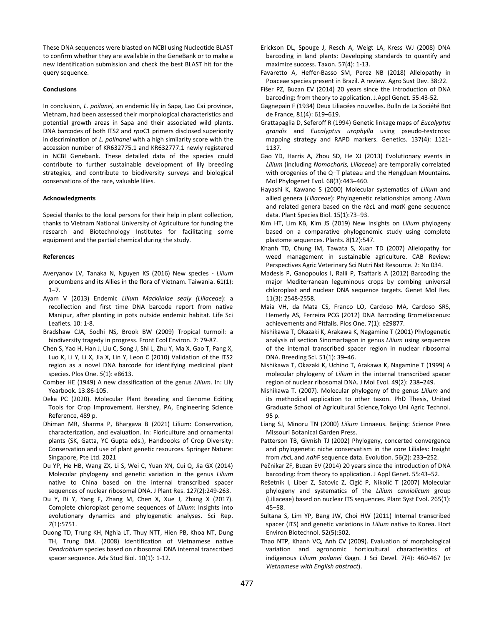These DNA sequences were blasted on NCBI using Nucleotide BLAST to confirm whether they are available in the GeneBank or to make a new identification submission and check the best BLAST hit for the query sequence.

#### **Conclusions**

In conclusion, *L. poilanei,* an endemic lily in Sapa, Lao Cai province, Vietnam, had been assessed their morphological characteristics and potential growth areas in Sapa and their associated wild plants. DNA barcodes of both ITS2 and *rpo*C1 primers disclosed superiority in discrimination of *L. polinanei* with a high similarity score with the accession number of KR632775.1 and KR632777.1 newly registered in NCBI Genebank. These detailed data of the species could contribute to further sustainable development of lily breeding strategies, and contribute to biodiversity surveys and biological conservations of the rare, valuable lilies.

# **Acknowledgments**

Special thanks to the local persons for their help in plant collection, thanks to Vietnam National University of Agriculture for funding the research and Biotechnology Institutes for facilitating some equipment and the partial chemical during the study.

#### **References**

- Averyanov LV, Tanaka N, Nguyen KS (2016) New species *Lilium* procumbens and its Allies in the flora of Vietnam. Taiwania. 61(1):  $1 - 7$
- Ayam V (2013) Endemic *Lilium Mackliniae sealy (Liliaceae*): a recollection and first time DNA barcode report from native Manipur, after planting in pots outside endemic habitat. Life Sci Leaflets. 10: 1-8.
- Bradshaw CJA, Sodhi NS, Brook BW (2009) Tropical turmoil: a biodiversity tragedy in progress. Front Ecol Environ. 7: 79-87.
- Chen S, Yao H, Han J, Liu C, Song J, Shi L, Zhu Y, Ma X, Gao T, Pang X, Luo K, Li Y, Li X, Jia X, Lin Y, Leon C (2010) Validation of the ITS2 region as a novel DNA barcode for identifying medicinal plant species. Plos One. *5*(1): e8613.
- Comber HE (1949) A new classification of the genus *Lilium*. In: Lily Yearbook. 13:86-105.
- Deka PC (2020). Molecular Plant Breeding and Genome Editing Tools for Crop Improvement. Hershey, PA, Engineering Science Reference, 489 p.
- Dhiman MR, Sharma P, Bhargava B (2021) Lilium: Conservation, characterization, and evaluation. In: Floriculture and ornamental plants (SK, Gatta, YC Gupta eds.), Handbooks of Crop Diversity: Conservation and use of plant genetic resources. Springer Nature: Singapore, Pte Ltd. 2021
- Du YP, He HB, Wang ZX, Li S, Wei C, Yuan XN, Cui Q, Jia GX (2014) Molecular phylogeny and genetic variation in the genus *Lilium* native to China based on the internal transcribed spacer sequences of nuclear ribosomal DNA. J Plant Res. 127(2):249-263.
- Du Y, Bi Y, Yang F, Zhang M, Chen X, Xue J, Zhang X (2017). Complete chloroplast genome sequences of *Lilium*: Insights into evolutionary dynamics and phylogenetic analyses. Sci Rep. *7*(1):5751.
- Duong TD, Trung KH, Nghia LT, Thuy NTT, Hien PB, Khoa NT, Dung TH, Trung DM. (2008) Identification of Vietnamese native *Dendrobium* species based on ribosomal DNA internal transcribed spacer sequence. Adv Stud Biol. 10(1): 1-12.
- Erickson DL, Spouge J, Resch A, Weigt LA, Kress WJ (2008) DNA barcoding in land plants: Developing standards to quantify and maximize success. Taxon. 57(4): 1-13.
- Favaretto A, Heffer-Basso SM, Perez NB (2018) Allelopathy in Poaceae species present in Brazil. A review. Agro Sust Dev. 38:22.
- Fišer PZ, Buzan EV (2014) 20 years since the introduction of DNA barcoding: from theory to application. J.Appl Genet. 55:43-52.
- Gagnepain F (1934) Deux Liliacées nouvelles. Bulln de La Société Bot de France, 81(4): 619–619.
- Grattapaglia D, Seferoff R (1994) Genetic linkage maps of *Eucalyptus grandis* and *Eucalyptus urophylla* using pseudo-testcross: mapping strategy and RAPD markers. Genetics. 137(4): 1121- 1137.
- Gao YD, Harris A, Zhou SD, He XJ (2013) Evolutionary events in *Lilium* (including *Nomocharis, Liliaceae*) are temporally correlated with orogenies of the Q–T plateau and the Hengduan Mountains. Mol Phylogenet Evol. 68(3):443–460.
- Hayashi K, Kawano S (2000) Molecular systematics of *Lilium* and allied genera (*Liliaceae*): Phylogenetic relationships among *Lilium* and related genera based on the *rbc*L and *mat*K gene sequence data. Plant Species Biol. 15(1):73–93.
- Kim HT, Lim KB, Kim JS (2019) New Insights on *Lilium* phylogeny based on a comparative phylogenomic study using complete plastome sequences. Plants. 8(12):547.
- Khanh TD, Chung IM, Tawata S, Xuan TD (2007) Allelopathy for weed management in sustainable agriculture. CAB Review: Perspectives Agric Veterinary Sci Nutri Nat Resource. 2: No 034.
- Madesis P, Ganopoulos I, Ralli P, Tsaftaris A (2012) Barcoding the major Mediterranean leguminous crops by combing universal chloroplast and nuclear DNA sequence targets. Genet Mol Res. 11(3): 2548-2558.
- Maia VH, da Mata CS, Franco LO, Cardoso MA, Cardoso SRS, Hemerly AS, Ferreira PCG (2012) DNA Barcoding Bromeliaceous: achievements and Pitfalls. Plos One. 7(1): e29877.
- Nishikawa T, Okazaki K, Arakawa K, Nagamine T (2001) Phylogenetic analysis of section Sinomartagon in genus *Lilium* using sequences of the internal transcribed spacer region in nuclear ribosomal DNA. Breeding Sci. 51(1): 39–46.
- Nishikawa T, Okazaki K, Uchino T, Arakawa K, Nagamine T (1999) A molecular phylogeny of *Lilium* in the internal transcribed spacer region of nuclear ribosomal DNA. J Mol Evol. 49(2): 238–249.
- Nishikawa T. (2007). Molecular phylogeny of the genus *Lilium* and its methodical application to other taxon. PhD Thesis, United Graduate School of Agricultural Science,Tokyo Uni Agric Technol. 95 p.
- Liang SJ, Minoru TN (2000) *Lilium* Linnaeus. Beijing: Science Press Missouri Botanical Garden Press.
- Patterson TB, Givnish TJ (2002) Phylogeny, concerted convergence and phylogenetic niche conservatism in the core Liliales: Insight from *rbc*L and *ndh*F sequence data. Evolution. 56(2): 233–252.
- Pečnikar ZF, Buzan EV (2014) 20 years since the introduction of DNA barcoding: from theory to application. J Appl Genet. 55:43–52.
- Rešetnik I, Liber Z, Satovic Z, Cigić P, Nikolić T (2007) Molecular phylogeny and systematics of the *Lilium carniolicum* group (Liliaceae) based on nuclear ITS sequences. Plant Syst Evol. 265(1): 45–58.
- Sultana S, Lim YP, Bang JW, Choi HW (2011) Internal transcribed spacer (ITS) and genetic variations in *Lilium* native to Korea. Hort Environ Biotechnol. 52(5):502.
- Thao NTP, Khanh VQ, Anh CV (2009). Evaluation of morphological variation and agronomic horticultural characteristics of indigenous *Lilium poilanei* Gagn. J Sci Devel. 7(4): 460-467 (*in Vietnamese with English abstract*).